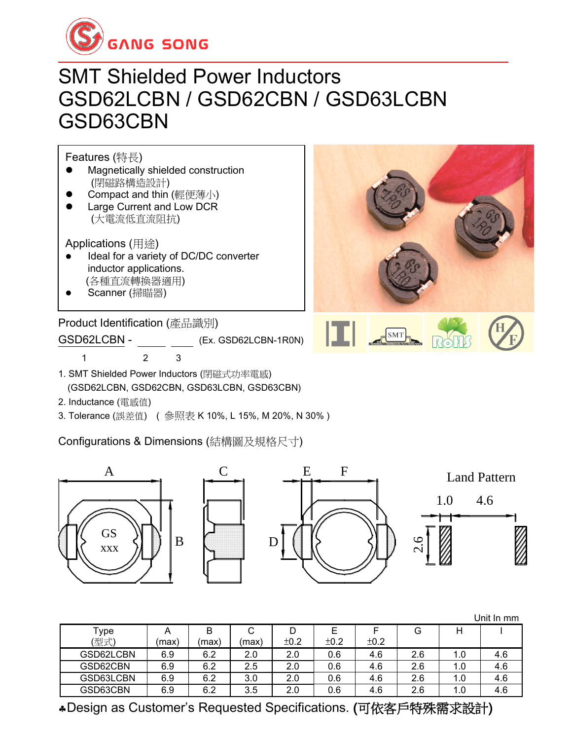

# SMT Shielded Power Inductors GSD62LCBN / GSD62CBN / GSD63LCBN GSD63CBN

Features (特長)

- ⚫ Magnetically shielded construction (閉磁路構造設計)
- Compact and thin (輕便薄小) ⚫ Large Current and Low DCR
- (大電流低直流阻抗)

Applications (用途)

- ⚫ Ideal for a variety of DC/DC converter inductor applications. (各種直流轉換器適用)
- ⚫ Scanner (掃瞄器)

Product Identification (產品識別)

GSD62LCBN - (Ex. GSD62LCBN-1R0N)

1 2 3

- 1. SMT Shielded Power Inductors (閉磁式功率電感) (GSD62LCBN, GSD62CBN, GSD63LCBN, GSD63CBN)
- 2. Inductance (電感值)
- 3. Tolerance (誤差值) ( 參照表 K 10%, L 15%, M 20%, N 30% )

Configurations & Dimensions (結構圖及規格尺寸)



|           |       |       |       |      |      |      |     |     | Unit In mm |
|-----------|-------|-------|-------|------|------|------|-----|-----|------------|
| Type      | A     | В     | U     | D    | E    |      | G   | Н   |            |
| (型式)      | (maxi | (max) | (max) | ±0.2 | ±0.2 | ±0.2 |     |     |            |
| GSD62LCBN | 6.9   | 6.2   | 2.0   | 2.0  | 0.6  | 4.6  | 2.6 | 1.0 | 4.6        |
| GSD62CBN  | 6.9   | 6.2   | 2.5   | 2.0  | 0.6  | 4.6  | 2.6 | 1.0 | 4.6        |
| GSD63LCBN | 6.9   | 6.2   | 3.0   | 2.0  | 0.6  | 4.6  | 2.6 | 1.0 | 4.6        |
| GSD63CBN  | 6.9   | 6.2   | 3.5   | 2.0  | 0.6  | 4.6  | 2.6 | 1.0 | 4.6        |

Design as Customer's Requested Specifications. (可依客戶特殊需求設計)

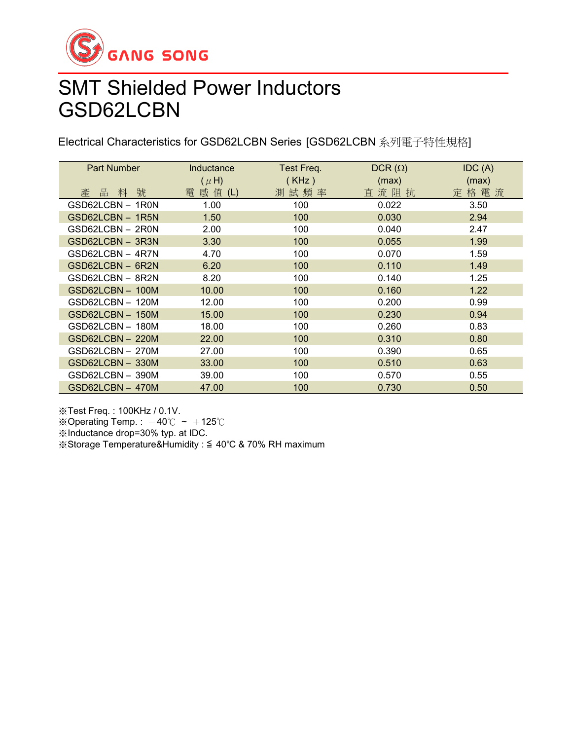

# SMT Shielded Power Inductors GSD62LCBN

Electrical Characteristics for GSD62LCBN Series [GSD62LCBN 系列電子特性規格]

| <b>Part Number</b> | Inductance | Test Freq. | $DCR(\Omega)$ | IDC(A) |
|--------------------|------------|------------|---------------|--------|
|                    | $(\mu H)$  | (KHz)      | (max)         | (max)  |
| 號<br>產<br>品<br>料   | 電 感 值 (L)  | 測試頻率       | 直流阻抗          | 定格電流   |
| GSD62LCBN - 1R0N   | 1.00       | 100        | 0.022         | 3.50   |
| GSD62LCBN - 1R5N   | 1.50       | 100        | 0.030         | 2.94   |
| GSD62LCBN - 2R0N   | 2.00       | 100        | 0.040         | 2.47   |
| GSD62LCBN - 3R3N   | 3.30       | 100        | 0.055         | 1.99   |
| GSD62LCBN - 4R7N   | 4.70       | 100        | 0.070         | 1.59   |
| GSD62LCBN - 6R2N   | 6.20       | 100        | 0.110         | 1.49   |
| GSD62LCBN – 8R2N   | 8.20       | 100        | 0.140         | 1.25   |
| GSD62LCBN-100M     | 10.00      | 100        | 0.160         | 1.22   |
| GSD62LCBN - 120M   | 12.00      | 100        | 0.200         | 0.99   |
| GSD62LCBN-150M     | 15.00      | 100        | 0.230         | 0.94   |
| GSD62LCBN - 180M   | 18.00      | 100        | 0.260         | 0.83   |
| GSD62LCBN - 220M   | 22.00      | 100        | 0.310         | 0.80   |
| GSD62LCBN - 270M   | 27.00      | 100        | 0.390         | 0.65   |
| GSD62LCBN-330M     | 33.00      | 100        | 0.510         | 0.63   |
| GSD62LCBN - 390M   | 39.00      | 100        | 0.570         | 0.55   |
| GSD62LCBN-470M     | 47.00      | 100        | 0.730         | 0.50   |

※Test Freq. : 100KHz / 0.1V.

※Operating Temp. :  $-40^{\circ}$ C ~  $+125^{\circ}$ C

※Inductance drop=30% typ. at IDC.

※Storage Temperature&Humidity : ≦ 40℃ & 70% RH maximum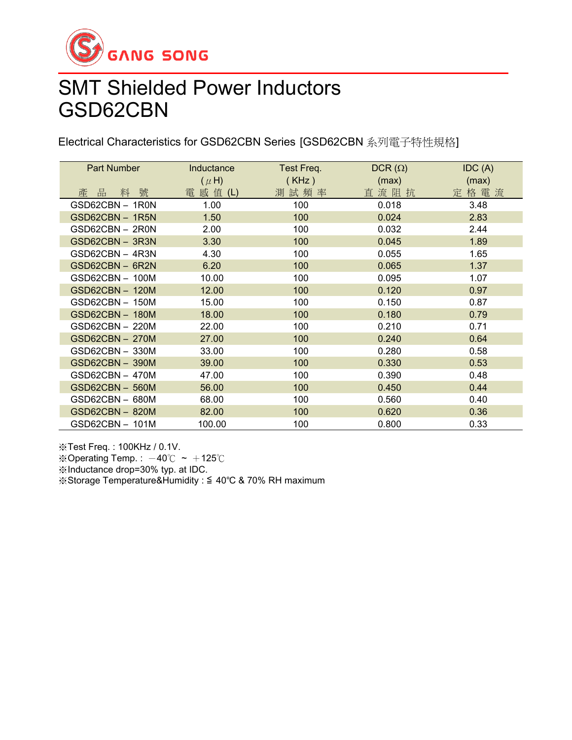

# SMT Shielded Power Inductors GSD62CBN

Electrical Characteristics for GSD62CBN Series [GSD62CBN 系列電子特性規格]

| Part Number            | Inductance | Test Freq. | $DCR(\Omega)$ | IDC(A) |
|------------------------|------------|------------|---------------|--------|
|                        | $(\mu H)$  | (KHz)      | (max)         | (max)  |
| 產 品<br>號<br>料          | 電 感 值 (L)  | 測試頻率       | 直流阻抗          | 定格電流   |
| GSD62CBN-1R0N          | 1.00       | 100        | 0.018         | 3.48   |
| GSD62CBN-1R5N          | 1.50       | 100        | 0.024         | 2.83   |
| GSD62CBN - 2R0N        | 2.00       | 100        | 0.032         | 2.44   |
| GSD62CBN - 3R3N        | 3.30       | 100        | 0.045         | 1.89   |
| GSD62CBN - 4R3N        | 4.30       | 100        | 0.055         | 1.65   |
| GSD62CBN-6R2N          | 6.20       | 100        | 0.065         | 1.37   |
| GSD62CBN - 100M        | 10.00      | 100        | 0.095         | 1.07   |
| GSD62CBN - 120M        | 12.00      | 100        | 0.120         | 0.97   |
| GSD62CBN - 150M        | 15.00      | 100        | 0.150         | 0.87   |
| GSD62CBN - 180M        | 18.00      | 100        | 0.180         | 0.79   |
| GSD62CBN - 220M        | 22.00      | 100        | 0.210         | 0.71   |
| <b>GSD62CBN - 270M</b> | 27.00      | 100        | 0.240         | 0.64   |
| GSD62CBN - 330M        | 33.00      | 100        | 0.280         | 0.58   |
| GSD62CBN - 390M        | 39.00      | 100        | 0.330         | 0.53   |
| GSD62CBN - 470M        | 47.00      | 100        | 0.390         | 0.48   |
| GSD62CBN - 560M        | 56.00      | 100        | 0.450         | 0.44   |
| GSD62CBN - 680M        | 68.00      | 100        | 0.560         | 0.40   |
| GSD62CBN - 820M        | 82.00      | 100        | 0.620         | 0.36   |
| GSD62CBN - 101M        | 100.00     | 100        | 0.800         | 0.33   |

※Test Freq. : 100KHz / 0.1V.

※Operating Temp.:  $-40^{\circ}$ C ~  $+125^{\circ}$ C

※Inductance drop=30% typ. at IDC.

※Storage Temperature&Humidity : ≦ 40℃ & 70% RH maximum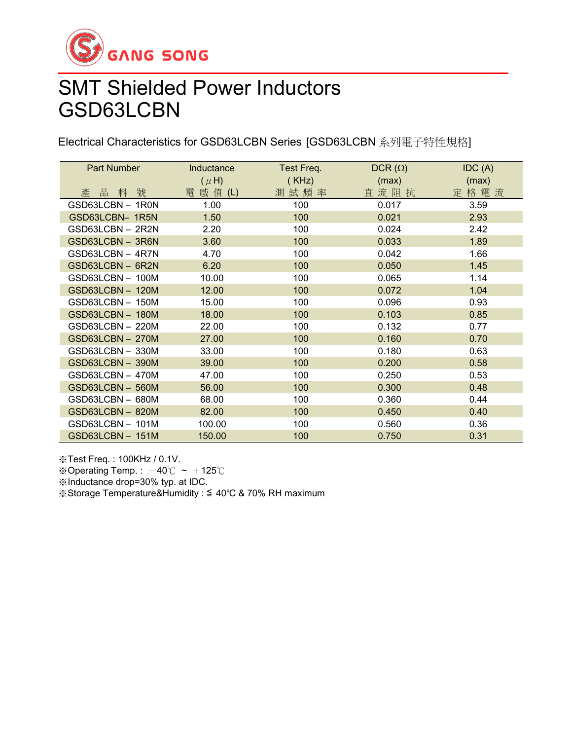

# SMT Shielded Power Inductors GSD63LCBN

Electrical Characteristics for GSD63LCBN Series [GSD63LCBN 系列電子特性規格]

| Part Number      | Inductance | Test Freq. | $DCR(\Omega)$ | IDC(A) |
|------------------|------------|------------|---------------|--------|
|                  | $(\mu H)$  | (KHz)      | (max)         | (max)  |
| 號<br>品<br>料<br>產 | 電 感 值 (L)  | 測試頻率       | 直流阻抗          | 定格電流   |
| GSD63LCBN - 1R0N | 1.00       | 100        | 0.017         | 3.59   |
| GSD63LCBN- 1R5N  | 1.50       | 100        | 0.021         | 2.93   |
| GSD63LCBN - 2R2N | 2.20       | 100        | 0.024         | 2.42   |
| GSD63LCBN - 3R6N | 3.60       | 100        | 0.033         | 1.89   |
| GSD63LCBN - 4R7N | 4.70       | 100        | 0.042         | 1.66   |
| GSD63LCBN - 6R2N | 6.20       | 100        | 0.050         | 1.45   |
| GSD63LCBN-100M   | 10.00      | 100        | 0.065         | 1.14   |
| GSD63LCBN-120M   | 12.00      | 100        | 0.072         | 1.04   |
| GSD63LCBN - 150M | 15.00      | 100        | 0.096         | 0.93   |
| GSD63LCBN-180M   | 18.00      | 100        | 0.103         | 0.85   |
| GSD63LCBN - 220M | 22.00      | 100        | 0.132         | 0.77   |
| GSD63LCBN-270M   | 27.00      | 100        | 0.160         | 0.70   |
| GSD63LCBN - 330M | 33.00      | 100        | 0.180         | 0.63   |
| GSD63LCBN - 390M | 39.00      | 100        | 0.200         | 0.58   |
| GSD63LCBN - 470M | 47.00      | 100        | 0.250         | 0.53   |
| GSD63LCBN - 560M | 56.00      | 100        | 0.300         | 0.48   |
| GSD63LCBN - 680M | 68.00      | 100        | 0.360         | 0.44   |
| GSD63LCBN-820M   | 82.00      | 100        | 0.450         | 0.40   |
| GSD63LCBN-101M   | 100.00     | 100        | 0.560         | 0.36   |
| GSD63LCBN-151M   | 150.00     | 100        | 0.750         | 0.31   |

※Test Freq. : 100KHz / 0.1V. ※Operating Temp.:  $-40^{\circ}$ C ~  $+125^{\circ}$ C ※Inductance drop=30% typ. at IDC. ※Storage Temperature&Humidity : ≦ 40℃ & 70% RH maximum